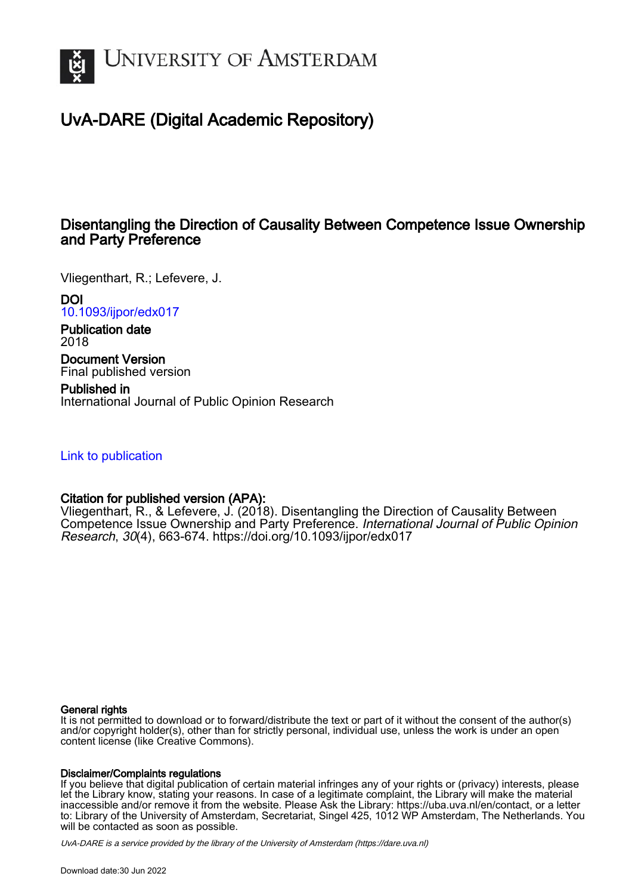

# UvA-DARE (Digital Academic Repository)

# Disentangling the Direction of Causality Between Competence Issue Ownership and Party Preference

Vliegenthart, R.; Lefevere, J.

DOI

[10.1093/ijpor/edx017](https://doi.org/10.1093/ijpor/edx017)

Publication date 2018

Document Version Final published version

Published in International Journal of Public Opinion Research

## [Link to publication](https://dare.uva.nl/personal/pure/en/publications/disentangling-the-direction-of-causality-between-competence-issue-ownership-and-party-preference(ea8fefaf-9bbf-4f43-9d3d-048f16f50071).html)

# Citation for published version (APA):

Vliegenthart, R., & Lefevere, J. (2018). Disentangling the Direction of Causality Between Competence Issue Ownership and Party Preference. International Journal of Public Opinion Research, 30(4), 663-674.<https://doi.org/10.1093/ijpor/edx017>

#### General rights

It is not permitted to download or to forward/distribute the text or part of it without the consent of the author(s) and/or copyright holder(s), other than for strictly personal, individual use, unless the work is under an open content license (like Creative Commons).

#### Disclaimer/Complaints regulations

If you believe that digital publication of certain material infringes any of your rights or (privacy) interests, please let the Library know, stating your reasons. In case of a legitimate complaint, the Library will make the material inaccessible and/or remove it from the website. Please Ask the Library: https://uba.uva.nl/en/contact, or a letter to: Library of the University of Amsterdam, Secretariat, Singel 425, 1012 WP Amsterdam, The Netherlands. You will be contacted as soon as possible.

UvA-DARE is a service provided by the library of the University of Amsterdam (http*s*://dare.uva.nl)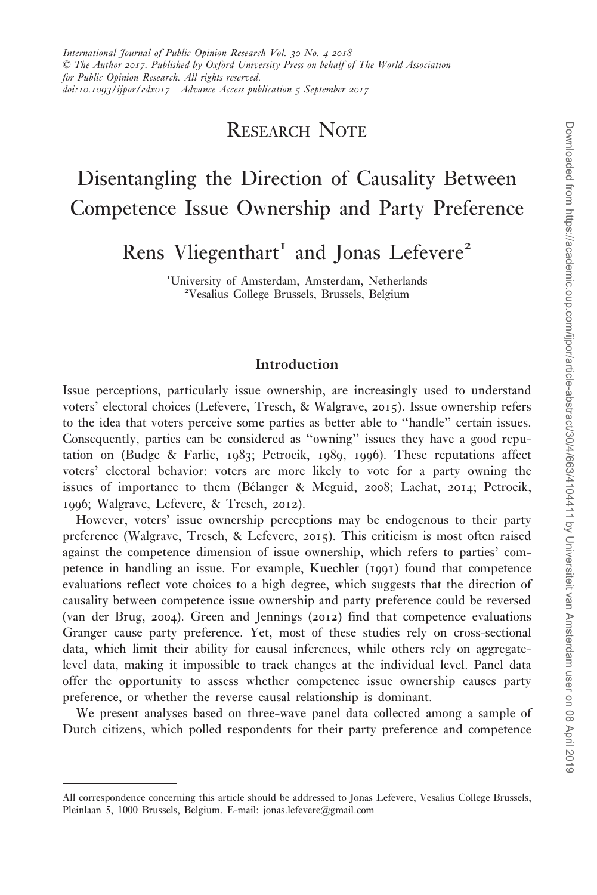© The Author 2017. Published by Oxford University Press on behalf of The World Association Disentangling the Direction of Causality Between Competence Issue Ownership and Party Preference Rens Vliegenthart<sup>1</sup> and Jonas Lefevere<sup>2</sup> <sup>1</sup>University of Amsterdam, Amsterdam, Netherlands<br><sup>2</sup>Vecalius College Brussels, Brussels, Belgium Vesalius College Brussels, Brussels, Belgium

### Introduction

RESEARCH NOTE

International Journal of Public Opinion Research Vol. 30 No. 4 2018

doi:10.1093/ijpor/edx017 Advance Access publication 5 September 2017

for Public Opinion Research. All rights reserved.

Issue perceptions, particularly issue ownership, are increasingly used to understand voters' electoral choices ([Lefevere, Tresch, & Walgrave,](#page-11-0) 2015). Issue ownership refers to the idea that voters perceive some parties as better able to ''handle'' certain issues. Consequently, parties can be considered as ''owning'' issues they have a good reputation on [\(Budge & Farlie,](#page-10-0) 1983; [Petrocik,](#page-11-0) 1989, [1996](#page-11-0)). These reputations affect voters' electoral behavior: voters are more likely to vote for a party owning the issues of importance to them (Bélanger & Meguid, 2008; [Lachat,](#page-11-0) 2014; [Petrocik,](#page-11-0) [1996](#page-11-0); [Walgrave, Lefevere, & Tresch,](#page-12-0) 2012).

However, voters' issue ownership perceptions may be endogenous to their party preference ([Walgrave, Tresch, & Lefevere,](#page-12-0) 2015). This criticism is most often raised against the competence dimension of issue ownership, which refers to parties' competence in handling an issue. For example, [Kuechler \(](#page-11-0)1991) found that competence evaluations reflect vote choices to a high degree, which suggests that the direction of causality between competence issue ownership and party preference could be reversed [\(van der Brug,](#page-10-0) 2004). [Green and Jennings \(](#page-10-0)2012) find that competence evaluations Granger cause party preference. Yet, most of these studies rely on cross-sectional data, which limit their ability for causal inferences, while others rely on aggregatelevel data, making it impossible to track changes at the individual level. Panel data offer the opportunity to assess whether competence issue ownership causes party preference, or whether the reverse causal relationship is dominant.

We present analyses based on three-wave panel data collected among a sample of Dutch citizens, which polled respondents for their party preference and competence

All correspondence concerning this article should be addressed to Jonas Lefevere, Vesalius College Brussels, Pleinlaan 5, 1000 Brussels, Belgium. E-mail: jonas.lefevere@gmail.com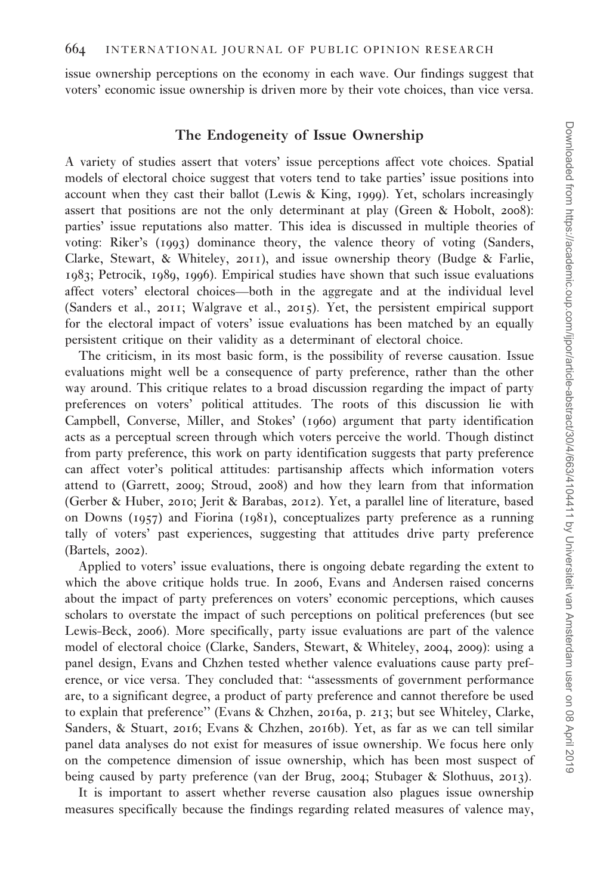issue ownership perceptions on the economy in each wave. Our findings suggest that voters' economic issue ownership is driven more by their vote choices, than vice versa.

#### The Endogeneity of Issue Ownership

A variety of studies assert that voters' issue perceptions affect vote choices. Spatial models of electoral choice suggest that voters tend to take parties' issue positions into account when they cast their ballot [\(Lewis & King,](#page-11-0) 1999). Yet, scholars increasingly assert that positions are not the only determinant at play ([Green & Hobolt,](#page-10-0) 2008): parties' issue reputations also matter. This idea is discussed in multiple theories of voting: [Riker's \(](#page-11-0)1993) dominance theory, the valence theory of voting ([Sanders,](#page-11-0) [Clarke, Stewart, & Whiteley,](#page-11-0) 2011), and issue ownership theory ([Budge & Farlie,](#page-10-0) [1983](#page-10-0); [Petrocik,](#page-11-0) 1989, [1996](#page-11-0)). Empirical studies have shown that such issue evaluations affect voters' electoral choices—both in the aggregate and at the individual level [\(Sanders et al.,](#page-11-0) 2011; [Walgrave et al.,](#page-12-0) 2015). Yet, the persistent empirical support for the electoral impact of voters' issue evaluations has been matched by an equally persistent critique on their validity as a determinant of electoral choice.

The criticism, in its most basic form, is the possibility of reverse causation. Issue evaluations might well be a consequence of party preference, rather than the other way around. This critique relates to a broad discussion regarding the impact of party preferences on voters' political attitudes. The roots of this discussion lie with [Campbell, Converse, Miller, and Stokes' \(](#page-10-0)1960) argument that party identification acts as a perceptual screen through which voters perceive the world. Though distinct from party preference, this work on party identification suggests that party preference can affect voter's political attitudes: partisanship affects which information voters attend to [\(Garrett,](#page-10-0) 2009; [Stroud,](#page-11-0) 2008) and how they learn from that information [\(Gerber & Huber,](#page-10-0) 2010; [Jerit & Barabas,](#page-10-0) 2012). Yet, a parallel line of literature, based on [Downs \(](#page-10-0)1957) and [Fiorina \(](#page-10-0)1981), conceptualizes party preference as a running tally of voters' past experiences, suggesting that attitudes drive party preference [\(Bartels,](#page-9-0) 2002).

Applied to voters' issue evaluations, there is ongoing debate regarding the extent to which the above critique holds true. In 2006, Evans and Andersen raised concerns about the impact of party preferences on voters' economic perceptions, which causes scholars to overstate the impact of such perceptions on political preferences (but see [Lewis-Beck,](#page-11-0) 2006). More specifically, party issue evaluations are part of the valence model of electoral choice ([Clarke, Sanders, Stewart, & Whiteley,](#page-10-0) 2004, [2009](#page-10-0)): using a panel design, Evans and Chzhen tested whether valence evaluations cause party preference, or vice versa. They concluded that: ''assessments of government performance are, to a significant degree, a product of party preference and cannot therefore be used to explain that preference'' [\(Evans & Chzhen,](#page-10-0) 2016a, p. 213; but see [Whiteley, Clarke,](#page-12-0) [Sanders, & Stuart,](#page-12-0) 2016; [Evans & Chzhen,](#page-10-0) 2016b). Yet, as far as we can tell similar panel data analyses do not exist for measures of issue ownership. We focus here only on the competence dimension of issue ownership, which has been most suspect of being caused by party preference [\(van der Brug,](#page-10-0) 2004; [Stubager & Slothuus,](#page-11-0) 2013).

It is important to assert whether reverse causation also plagues issue ownership measures specifically because the findings regarding related measures of valence may,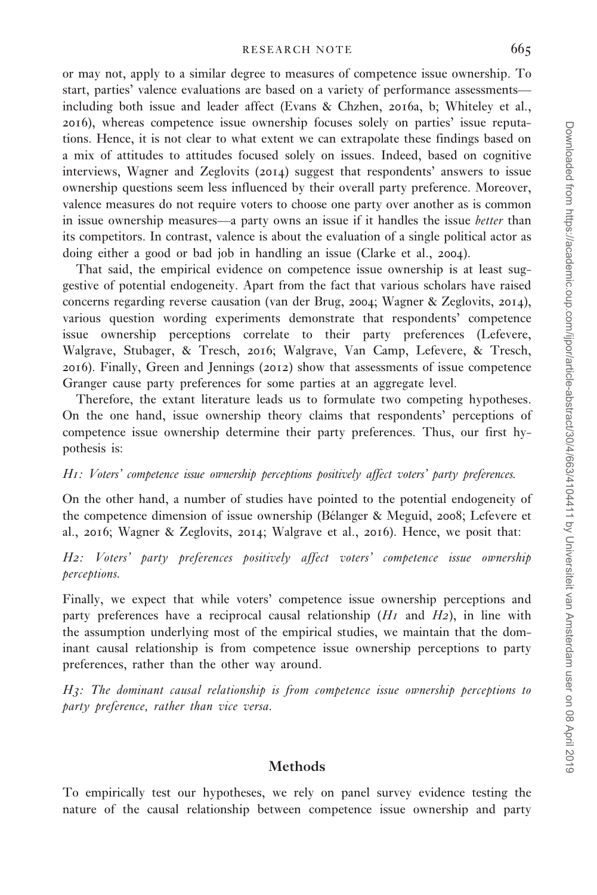or may not, apply to a similar degree to measures of competence issue ownership. To start, parties' valence evaluations are based on a variety of performance assessments including both issue and leader affect ([Evans & Chzhen,](#page-10-0) 2016a, b; [Whiteley et al.,](#page-12-0) [2016](#page-12-0)), whereas competence issue ownership focuses solely on parties' issue reputations. Hence, it is not clear to what extent we can extrapolate these findings based on a mix of attitudes to attitudes focused solely on issues. Indeed, based on cognitive interviews, [Wagner and Zeglovits \(](#page-11-0)2014) suggest that respondents' answers to issue ownership questions seem less influenced by their overall party preference. Moreover, valence measures do not require voters to choose one party over another as is common in issue ownership measures—a party owns an issue if it handles the issue *better* than its competitors. In contrast, valence is about the evaluation of a single political actor as doing either a good or bad job in handling an issue ([Clarke et al.,](#page-10-0) 2004).

That said, the empirical evidence on competence issue ownership is at least suggestive of potential endogeneity. Apart from the fact that various scholars have raised concerns regarding reverse causation ([van der Brug,](#page-10-0) 2004; [Wagner & Zeglovits,](#page-11-0) 2014), various question wording experiments demonstrate that respondents' competence issue ownership perceptions correlate to their party preferences ([Lefevere,](#page-11-0) [Walgrave, Stubager, & Tresch,](#page-11-0) 2016; [Walgrave, Van Camp, Lefevere, & Tresch,](#page-12-0) [2016](#page-12-0)). Finally, [Green and Jennings \(](#page-10-0)2012) show that assessments of issue competence Granger cause party preferences for some parties at an aggregate level.

Therefore, the extant literature leads us to formulate two competing hypotheses. On the one hand, issue ownership theory claims that respondents' perceptions of competence issue ownership determine their party preferences. Thus, our first hypothesis is:

#### H1: Voters' competence issue ownership perceptions positively affect voters' party preferences.

On the other hand, a number of studies have pointed to the potential endogeneity of the competence dimension of issue ownership (Bélanger & Meguid, 2008; [Lefevere et](#page-11-0) al., [2016](#page-11-0); [Wagner & Zeglovits,](#page-11-0) 2014; [Walgrave et al.,](#page-12-0) 2016). Hence, we posit that:

H2: Voters' party preferences positively affect voters' competence issue ownership perceptions.

Finally, we expect that while voters' competence issue ownership perceptions and party preferences have a reciprocal causal relationship  $(H_1$  and  $H_2$ ), in line with the assumption underlying most of the empirical studies, we maintain that the dominant causal relationship is from competence issue ownership perceptions to party preferences, rather than the other way around.

H3: The dominant causal relationship is from competence issue ownership perceptions to party preference, rather than vice versa.

#### Methods

To empirically test our hypotheses, we rely on panel survey evidence testing the nature of the causal relationship between competence issue ownership and party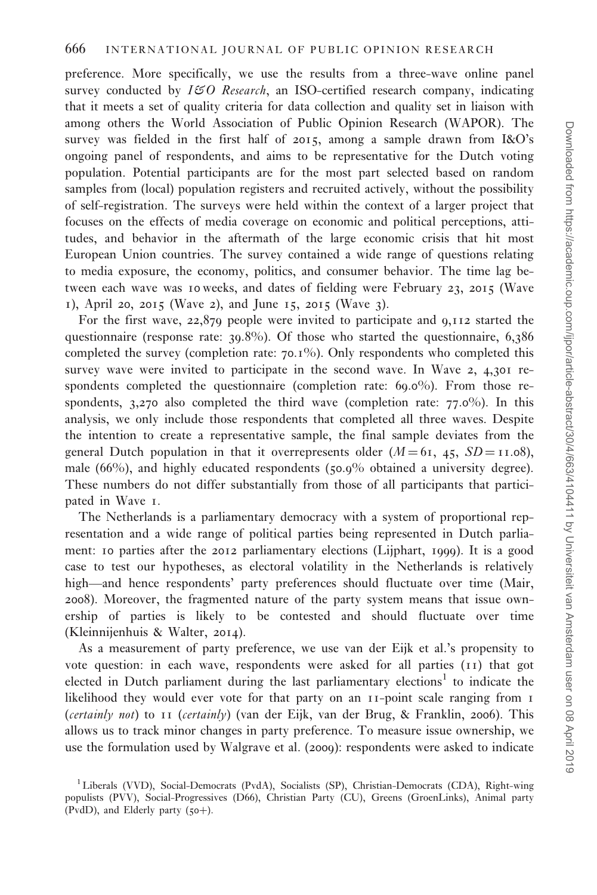preference. More specifically, we use the results from a three-wave online panel survey conducted by  $I\mathcal{O}$  Research, an ISO-certified research company, indicating that it meets a set of quality criteria for data collection and quality set in liaison with among others the World Association of Public Opinion Research (WAPOR). The survey was fielded in the first half of 2015, among a sample drawn from I&O's ongoing panel of respondents, and aims to be representative for the Dutch voting population. Potential participants are for the most part selected based on random samples from (local) population registers and recruited actively, without the possibility of self-registration. The surveys were held within the context of a larger project that focuses on the effects of media coverage on economic and political perceptions, attitudes, and behavior in the aftermath of the large economic crisis that hit most European Union countries. The survey contained a wide range of questions relating to media exposure, the economy, politics, and consumer behavior. The time lag between each wave was 10weeks, and dates of fielding were February 23, 2015 (Wave 1), April 20, 2015 (Wave 2), and June 15, 2015 (Wave 3).

For the first wave, 22,879 people were invited to participate and 9,112 started the questionnaire (response rate: 39.8%). Of those who started the questionnaire, 6,386 completed the survey (completion rate: 70.1%). Only respondents who completed this survey wave were invited to participate in the second wave. In Wave 2, 4,301 respondents completed the questionnaire (completion rate:  $69.0\%$ ). From those respondents,  $3,270$  also completed the third wave (completion rate:  $77.0\%$ ). In this analysis, we only include those respondents that completed all three waves. Despite the intention to create a representative sample, the final sample deviates from the general Dutch population in that it overrepresents older  $(M = 61, 45, SD = 11.08)$ , male (66%), and highly educated respondents (50.9% obtained a university degree). These numbers do not differ substantially from those of all participants that participated in Wave 1.

The Netherlands is a parliamentary democracy with a system of proportional representation and a wide range of political parties being represented in Dutch parliament: 10 parties after the 2012 parliamentary elections ([Lijphart,](#page-11-0) 1999). It is a good case to test our hypotheses, as electoral volatility in the Netherlands is relatively high—and hence respondents' party preferences should fluctuate over time ([Mair,](#page-11-0) [2008](#page-11-0)). Moreover, the fragmented nature of the party system means that issue ownership of parties is likely to be contested and should fluctuate over time [\(Kleinnijenhuis & Walter,](#page-10-0) 2014).

As a measurement of party preference, we use van der Eijk et al.'s propensity to vote question: in each wave, respondents were asked for all parties (11) that got elected in Dutch parliament during the last parliamentary elections<sup>1</sup> to indicate the likelihood they would ever vote for that party on an 11-point scale ranging from 1 (certainly not) to 11 (certainly) [\(van der Eijk, van der Brug, & Franklin,](#page-11-0) 2006). This allows us to track minor changes in party preference. To measure issue ownership, we use the formulation used by [Walgrave et al. \(](#page-12-0)2009): respondents were asked to indicate

<sup>&</sup>lt;sup>1</sup>Liberals (VVD), Social-Democrats (PvdA), Socialists (SP), Christian-Democrats (CDA), Right-wing populists (PVV), Social-Progressives (D66), Christian Party (CU), Greens (GroenLinks), Animal party (PvdD), and Elderly party  $(50+)$ .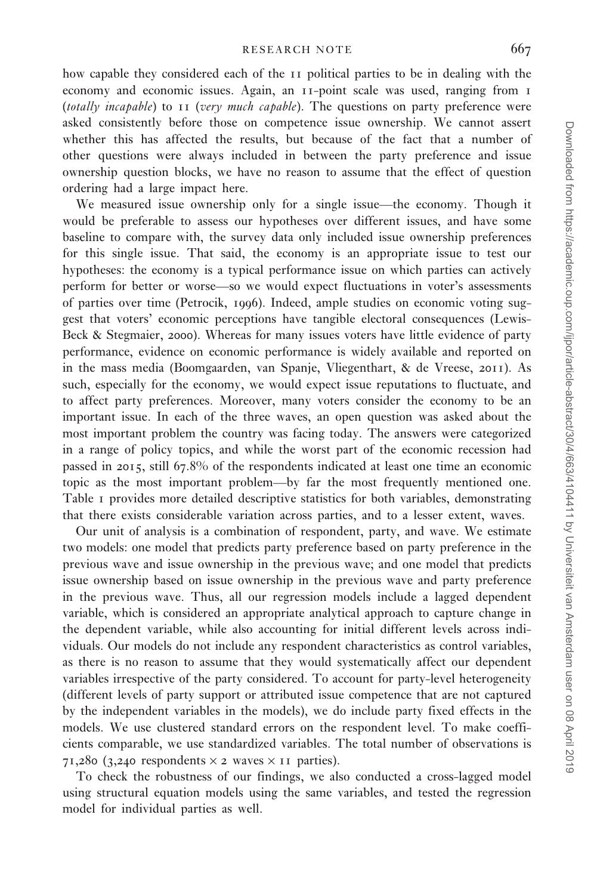how capable they considered each of the 11 political parties to be in dealing with the economy and economic issues. Again, an 11-point scale was used, ranging from 1 (totally incapable) to  $\overline{11}$  (very much capable). The questions on party preference were asked consistently before those on competence issue ownership. We cannot assert whether this has affected the results, but because of the fact that a number of other questions were always included in between the party preference and issue ownership question blocks, we have no reason to assume that the effect of question ordering had a large impact here.

We measured issue ownership only for a single issue—the economy. Though it would be preferable to assess our hypotheses over different issues, and have some baseline to compare with, the survey data only included issue ownership preferences for this single issue. That said, the economy is an appropriate issue to test our hypotheses: the economy is a typical performance issue on which parties can actively perform for better or worse—so we would expect fluctuations in voter's assessments of parties over time [\(Petrocik,](#page-11-0) 1996). Indeed, ample studies on economic voting suggest that voters' economic perceptions have tangible electoral consequences ([Lewis-](#page-11-0)[Beck & Stegmaier,](#page-11-0) 2000). Whereas for many issues voters have little evidence of party performance, evidence on economic performance is widely available and reported on in the mass media [\(Boomgaarden, van Spanje, Vliegenthart, & de Vreese,](#page-10-0) 2011). As such, especially for the economy, we would expect issue reputations to fluctuate, and to affect party preferences. Moreover, many voters consider the economy to be an important issue. In each of the three waves, an open question was asked about the most important problem the country was facing today. The answers were categorized in a range of policy topics, and while the worst part of the economic recession had passed in 2015, still 67.8% of the respondents indicated at least one time an economic topic as the most important problem—by far the most frequently mentioned one. [Table](#page-6-0) 1 provides more detailed descriptive statistics for both variables, demonstrating that there exists considerable variation across parties, and to a lesser extent, waves.

Our unit of analysis is a combination of respondent, party, and wave. We estimate two models: one model that predicts party preference based on party preference in the previous wave and issue ownership in the previous wave; and one model that predicts issue ownership based on issue ownership in the previous wave and party preference in the previous wave. Thus, all our regression models include a lagged dependent variable, which is considered an appropriate analytical approach to capture change in the dependent variable, while also accounting for initial different levels across individuals. Our models do not include any respondent characteristics as control variables, as there is no reason to assume that they would systematically affect our dependent variables irrespective of the party considered. To account for party-level heterogeneity (different levels of party support or attributed issue competence that are not captured by the independent variables in the models), we do include party fixed effects in the models. We use clustered standard errors on the respondent level. To make coefficients comparable, we use standardized variables. The total number of observations is 71,280 (3,240 respondents  $\times$  2 waves  $\times$  11 parties).

To check the robustness of our findings, we also conducted a cross-lagged model using structural equation models using the same variables, and tested the regression model for individual parties as well.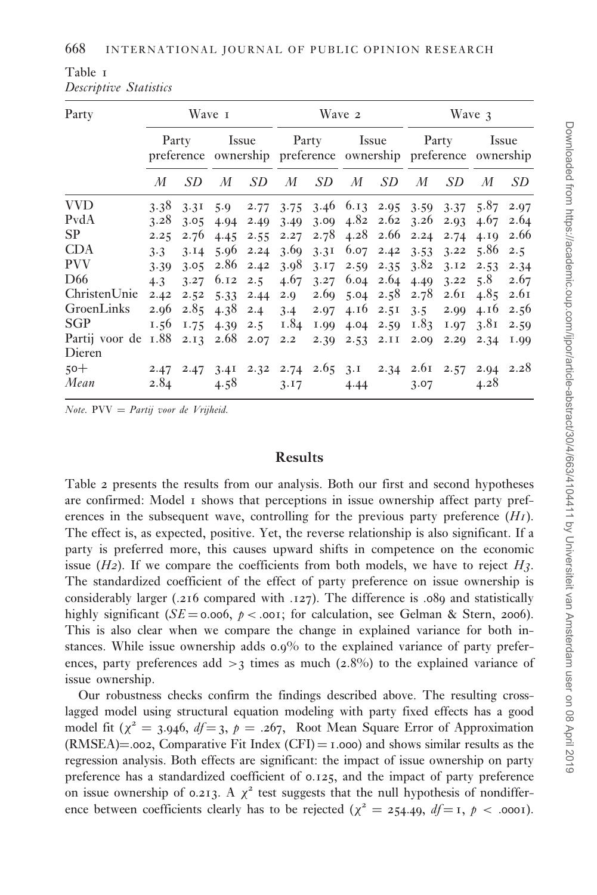| Party                                                                     | Wave 1 |      |                                         |    | Wave 2        |    |      |        | Wave 3                                                                                          |                                                            |                 |           |
|---------------------------------------------------------------------------|--------|------|-----------------------------------------|----|---------------|----|------|--------|-------------------------------------------------------------------------------------------------|------------------------------------------------------------|-----------------|-----------|
|                                                                           | Party  |      |                                         |    |               |    |      |        | Issue Party Issue Party Issue<br>preference ownership preference ownership preference ownership |                                                            |                 |           |
|                                                                           | M      | SD.  | $\mathcal M$                            | SD | $\mathcal{M}$ | SD |      | $M$ SD | $M_{-}$                                                                                         | <i>SD</i>                                                  | $\mathcal{M}^-$ | <i>SD</i> |
| <b>VVD</b>                                                                |        |      |                                         |    |               |    |      |        |                                                                                                 | 3.38 3.31 5.9 2.77 3.75 3.46 6.13 2.95 3.59 3.37 5.87 2.97 |                 |           |
| PvdA                                                                      | 3.28   | 3.05 |                                         |    |               |    |      |        |                                                                                                 | 4.94 2.49 3.49 3.09 4.82 2.62 3.26 2.93 4.67 2.64          |                 |           |
| SP                                                                        | 2.25   | 2.76 |                                         |    |               |    |      |        |                                                                                                 | 4.45 2.55 2.27 2.78 4.28 2.66 2.24 2.74 4.19 2.66          |                 |           |
| <b>CDA</b>                                                                | 3.3    | 3.14 | 5.96                                    |    |               |    |      |        |                                                                                                 | 2.24 3.69 3.31 6.07 2.42 3.53 3.22 5.86 2.5                |                 |           |
| <b>PVV</b>                                                                | 3.39   | 3.05 |                                         |    |               |    |      |        |                                                                                                 | 2.86 2.42 3.98 3.17 2.59 2.35 3.82 3.12 2.53 2.34          |                 |           |
| D <sub>66</sub>                                                           | 4.3    |      |                                         |    |               |    |      |        |                                                                                                 | $3.27$ 6.12 2.5 4.67 3.27 6.04 2.64 4.49 3.22 5.8          |                 | 2.67      |
| ChristenUnie                                                              |        |      | $2.42 \quad 2.52 \quad 5.33 \quad 2.44$ |    | 2.0           |    |      |        |                                                                                                 | 2.69 5.04 2.58 2.78 2.61 4.85 2.61                         |                 |           |
| <b>GroenLinks</b>                                                         |        |      |                                         |    |               |    |      |        |                                                                                                 | 2.96 2.85 4.38 2.4 3.4 2.97 4.16 2.51 3.5 2.99 4.16 2.56   |                 |           |
| SGP                                                                       |        |      |                                         |    |               |    |      |        |                                                                                                 | 1.56 1.75 4.39 2.5 1.84 1.99 4.04 2.59 1.83 1.97 3.81 2.59 |                 |           |
| Partij voor de 1.88 2.13 2.68 2.07 2.2 2.39 2.53 2.11 2.09 2.29 2.34 1.99 |        |      |                                         |    |               |    |      |        |                                                                                                 |                                                            |                 |           |
| Dieren                                                                    |        |      |                                         |    |               |    |      |        |                                                                                                 |                                                            |                 |           |
| $50+$                                                                     |        |      |                                         |    |               |    |      |        |                                                                                                 | 2.47 2.47 3.41 2.32 2.74 2.65 3.1 2.34 2.61 2.57 2.94 2.28 |                 |           |
| Mean                                                                      | 2.84   |      | 4.58                                    |    | 3.17          |    | 4.44 |        | 3.07                                                                                            |                                                            | 4.28            |           |

<span id="page-6-0"></span>Table 1 Descriptive Statistics

Note.  $PVV =$  Partij voor de Vrijheid.

#### Results

[Table](#page-7-0) 2 presents the results from our analysis. Both our first and second hypotheses are confirmed: Model 1 shows that perceptions in issue ownership affect party preferences in the subsequent wave, controlling for the previous party preference  $(H<sub>I</sub>)$ . The effect is, as expected, positive. Yet, the reverse relationship is also significant. If a party is preferred more, this causes upward shifts in competence on the economic issue  $(H_2)$ . If we compare the coefficients from both models, we have to reject  $H_3$ . The standardized coefficient of the effect of party preference on issue ownership is considerably larger (.216 compared with .127). The difference is .089 and statistically highly significant ( $SE = 0.006$ ,  $p < .001$ ; for calculation, see [Gelman & Stern,](#page-10-0) 2006). This is also clear when we compare the change in explained variance for both instances. While issue ownership adds 0.9% to the explained variance of party preferences, party preferences add  $>3$  times as much (2.8%) to the explained variance of issue ownership.

Our robustness checks confirm the findings described above. The resulting crosslagged model using structural equation modeling with party fixed effects has a good model fit  $(\chi^2 = 3.946, df = 3, p = .267,$  Root Mean Square Error of Approximation  $(RMSEA) = .002$ , Comparative Fit Index  $(CFI) = 1.000$  and shows similar results as the regression analysis. Both effects are significant: the impact of issue ownership on party preference has a standardized coefficient of 0.125, and the impact of party preference on issue ownership of 0.213. A  $\chi^2$  test suggests that the null hypothesis of nondifference between coefficients clearly has to be rejected ( $\chi^2 = 254.49$ ,  $df = I$ ,  $p < .0001$ ).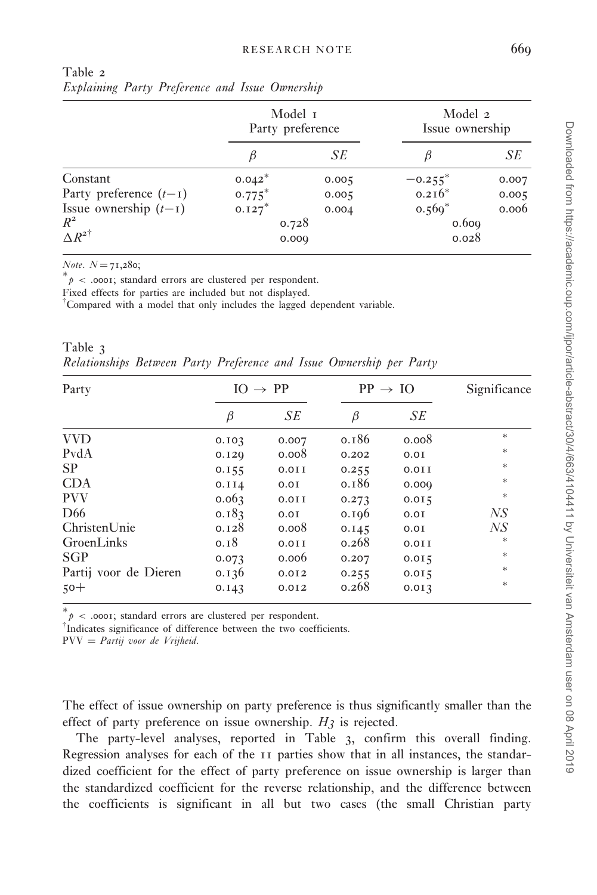|                          | Model 1<br>Party preference |       | Model 2<br>Issue ownership |       |  |
|--------------------------|-----------------------------|-------|----------------------------|-------|--|
|                          | B                           | SЕ    |                            | SЕ    |  |
| Constant                 | $0.042*$                    | 0.005 | $-0.255^*$                 | 0.007 |  |
| Party preference $(t-1)$ | $0.775*$                    | 0.005 | $0.216*$                   | 0.005 |  |
| Issue ownership $(t-1)$  | $0.127*$                    | 0.004 | $0.569*$                   | 0.006 |  |
| $R^2$                    | 0.728                       |       | 0.609                      |       |  |
| $\Delta R^{2\dagger}$    | 0.000                       |       | 0.028                      |       |  |

<span id="page-7-0"></span>Table 2 Explaining Party Preference and Issue Ownership

*Note.*  $N = 71,280$ ;

 $p^*$   $\geq$  .0001; standard errors are clustered per respondent.

Fixed effects for parties are included but not displayed.

<sup>†</sup>Compared with a model that only includes the lagged dependent variable.

|       |       |                     | Significance |                     |
|-------|-------|---------------------|--------------|---------------------|
| β     | SE    | β                   | SE           |                     |
| 0.103 | 0.007 | 0.186               | 0.008        | $\ast$              |
| 0.120 | 0.008 | 0.202               | 0.01         | $\ast$              |
| 0.155 | 0.01I | 0.255               | 0.01I        | $\ast$              |
| 0.114 | 0.01  | 0.186               | 0.000        | $\ast$              |
| 0.063 | 0.01I | 0.273               | 0.015        | $*$                 |
| 0.183 | 0.01  | 0.196               | 0.01         | NS                  |
| 0.128 | 0.008 | 0.145               | 0.01         | NS                  |
| 0.18  | 0.01I | 0.268               | 0.01I        | $\ast$              |
| 0.073 | 0.006 | 0.207               | 0.015        | $\ast$              |
| 0.136 | 0.012 | 0.255               | 0.015        | $*$                 |
| 0.143 | 0.012 | 0.268               | 0.013        | $\ast$              |
|       |       | $IO \rightarrow PP$ |              | $PP \rightarrow IO$ |

Table 3 Relationships Between Party Preference and Issue Ownership per Party

 $p^*$   $>$  .0001; standard errors are clustered per respondent.

<sup>†</sup>Indicates significance of difference between the two coefficients.

 $PVV = Partij$  voor de Vrijheid.

The effect of issue ownership on party preference is thus significantly smaller than the effect of party preference on issue ownership.  $H_3$  is rejected.

The party-level analyses, reported in Table 3, confirm this overall finding. Regression analyses for each of the 11 parties show that in all instances, the standardized coefficient for the effect of party preference on issue ownership is larger than the standardized coefficient for the reverse relationship, and the difference between the coefficients is significant in all but two cases (the small Christian party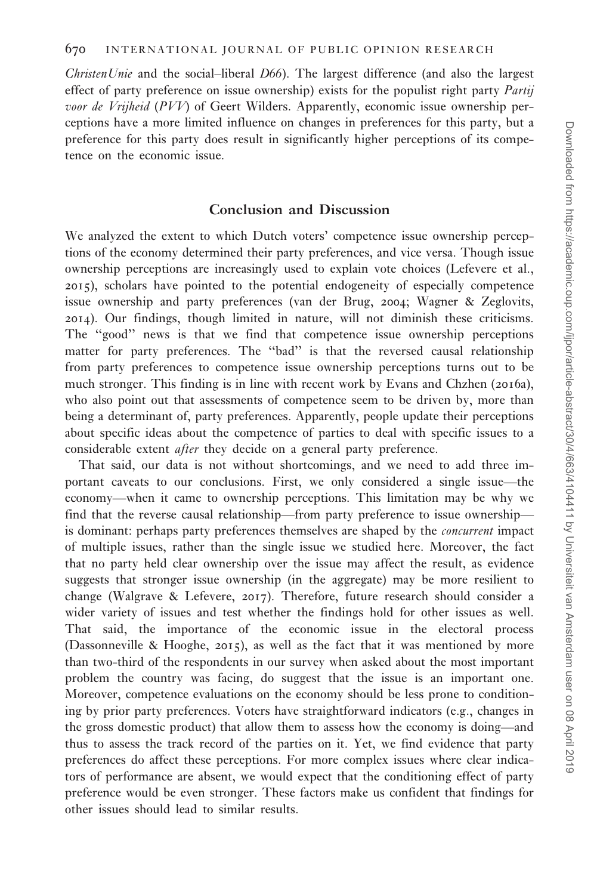$Christen Unie$  and the social–liberal  $D66$ ). The largest difference (and also the largest effect of party preference on issue ownership) exists for the populist right party Partij voor de Vrijheid (PVV) of Geert Wilders. Apparently, economic issue ownership perceptions have a more limited influence on changes in preferences for this party, but a preference for this party does result in significantly higher perceptions of its competence on the economic issue.

#### Conclusion and Discussion

We analyzed the extent to which Dutch voters' competence issue ownership perceptions of the economy determined their party preferences, and vice versa. Though issue ownership perceptions are increasingly used to explain vote choices ([Lefevere et al.,](#page-11-0) [2015](#page-11-0)), scholars have pointed to the potential endogeneity of especially competence issue ownership and party preferences ([van der Brug,](#page-10-0) 2004; [Wagner & Zeglovits,](#page-11-0) [2014](#page-11-0)). Our findings, though limited in nature, will not diminish these criticisms. The "good" news is that we find that competence issue ownership perceptions matter for party preferences. The ''bad'' is that the reversed causal relationship from party preferences to competence issue ownership perceptions turns out to be much stronger. This finding is in line with recent work by [Evans and Chzhen \(](#page-10-0)2016a), who also point out that assessments of competence seem to be driven by, more than being a determinant of, party preferences. Apparently, people update their perceptions about specific ideas about the competence of parties to deal with specific issues to a considerable extent after they decide on a general party preference.

That said, our data is not without shortcomings, and we need to add three important caveats to our conclusions. First, we only considered a single issue—the economy—when it came to ownership perceptions. This limitation may be why we find that the reverse causal relationship—from party preference to issue ownership is dominant: perhaps party preferences themselves are shaped by the concurrent impact of multiple issues, rather than the single issue we studied here. Moreover, the fact that no party held clear ownership over the issue may affect the result, as evidence suggests that stronger issue ownership (in the aggregate) may be more resilient to change ([Walgrave & Lefevere,](#page-11-0) 2017). Therefore, future research should consider a wider variety of issues and test whether the findings hold for other issues as well. That said, the importance of the economic issue in the electoral process [\(Dassonneville & Hooghe,](#page-10-0) 2015), as well as the fact that it was mentioned by more than two-third of the respondents in our survey when asked about the most important problem the country was facing, do suggest that the issue is an important one. Moreover, competence evaluations on the economy should be less prone to conditioning by prior party preferences. Voters have straightforward indicators (e.g., changes in the gross domestic product) that allow them to assess how the economy is doing—and thus to assess the track record of the parties on it. Yet, we find evidence that party preferences do affect these perceptions. For more complex issues where clear indicators of performance are absent, we would expect that the conditioning effect of party preference would be even stronger. These factors make us confident that findings for other issues should lead to similar results.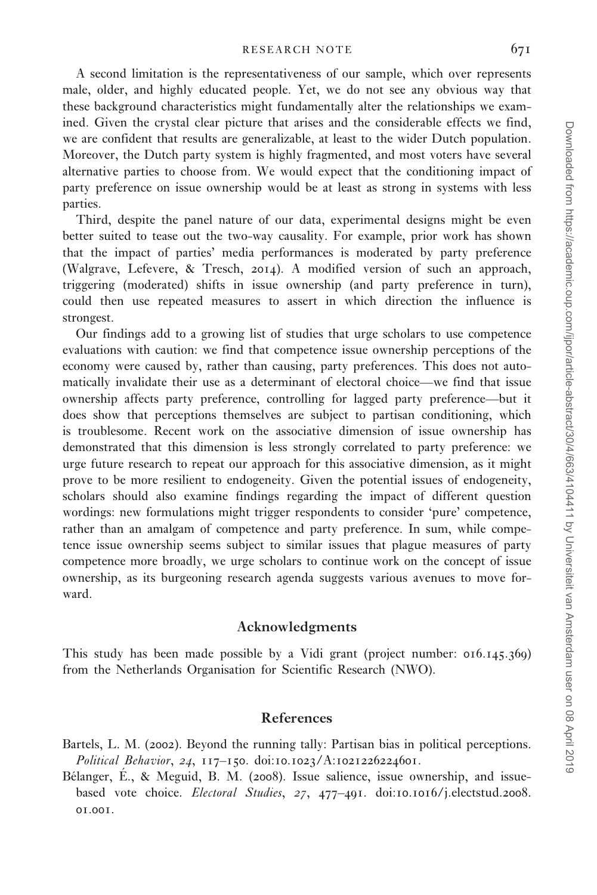<span id="page-9-0"></span>A second limitation is the representativeness of our sample, which over represents male, older, and highly educated people. Yet, we do not see any obvious way that these background characteristics might fundamentally alter the relationships we examined. Given the crystal clear picture that arises and the considerable effects we find, we are confident that results are generalizable, at least to the wider Dutch population. Moreover, the Dutch party system is highly fragmented, and most voters have several alternative parties to choose from. We would expect that the conditioning impact of party preference on issue ownership would be at least as strong in systems with less parties.

Third, despite the panel nature of our data, experimental designs might be even better suited to tease out the two-way causality. For example, prior work has shown that the impact of parties' media performances is moderated by party preference [\(Walgrave, Lefevere, & Tresch,](#page-12-0) 2014). A modified version of such an approach, triggering (moderated) shifts in issue ownership (and party preference in turn), could then use repeated measures to assert in which direction the influence is strongest.

Our findings add to a growing list of studies that urge scholars to use competence evaluations with caution: we find that competence issue ownership perceptions of the economy were caused by, rather than causing, party preferences. This does not automatically invalidate their use as a determinant of electoral choice—we find that issue ownership affects party preference, controlling for lagged party preference—but it does show that perceptions themselves are subject to partisan conditioning, which is troublesome. Recent work on the associative dimension of issue ownership has demonstrated that this dimension is less strongly correlated to party preference: we urge future research to repeat our approach for this associative dimension, as it might prove to be more resilient to endogeneity. Given the potential issues of endogeneity, scholars should also examine findings regarding the impact of different question wordings: new formulations might trigger respondents to consider 'pure' competence, rather than an amalgam of competence and party preference. In sum, while competence issue ownership seems subject to similar issues that plague measures of party competence more broadly, we urge scholars to continue work on the concept of issue ownership, as its burgeoning research agenda suggests various avenues to move forward.

#### Acknowledgments

This study has been made possible by a Vidi grant (project number: 016.145.369) from the Netherlands Organisation for Scientific Research (NWO).

#### References

- Bartels, L. M. (2002). Beyond the running tally: Partisan bias in political perceptions. Political Behavior, 24, 117–150. doi:10.1023/A:1021226224601.
- Bélanger, E., & Meguid, B. M. (2008). Issue salience, issue ownership, and issuebased vote choice. Electoral Studies, 27, 477-491. doi:10.1016/j.electstud.2008. 01.001.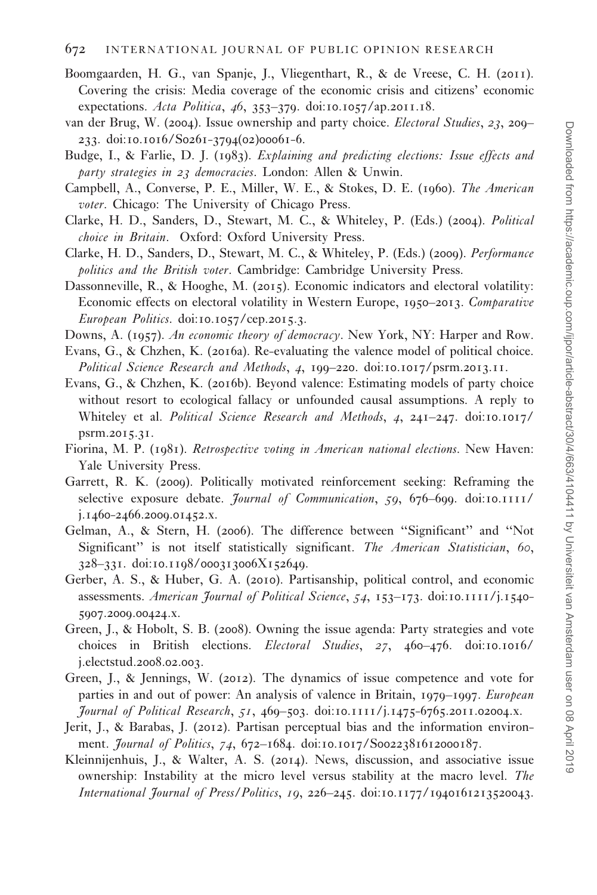- <span id="page-10-0"></span>Boomgaarden, H. G., van Spanje, J., Vliegenthart, R., & de Vreese, C. H. (2011). Covering the crisis: Media coverage of the economic crisis and citizens' economic expectations. Acta Politica, 46, 353-379. doi:10.1057/ap.2011.18.
- van der Brug, W. (2004). Issue ownership and party choice. Electoral Studies, 23, 200-233. doi:10.1016/S0261-3794(02)00061-6.
- Budge, I., & Farlie, D. J. (1983). Explaining and predicting elections: Issue effects and party strategies in 23 democracies. London: Allen & Unwin.
- Campbell, A., Converse, P. E., Miller, W. E., & Stokes, D. E. (1960). The American voter. Chicago: The University of Chicago Press.
- Clarke, H. D., Sanders, D., Stewart, M. C., & Whiteley, P. (Eds.) (2004). Political choice in Britain. Oxford: Oxford University Press.
- Clarke, H. D., Sanders, D., Stewart, M. C., & Whiteley, P. (Eds.) (2009). Performance politics and the British voter. Cambridge: Cambridge University Press.
- Dassonneville, R., & Hooghe, M. (2015). Economic indicators and electoral volatility: Economic effects on electoral volatility in Western Europe, 1950–2013. Comparative European Politics. doi:10.1057/cep.2015.3.
- Downs, A. (1957). An economic theory of democracy. New York, NY: Harper and Row.
- Evans, G., & Chzhen, K. (2016a). Re-evaluating the valence model of political choice. Political Science Research and Methods, 4, 199-220. doi:10.1017/psrm.2013.11.
- Evans, G., & Chzhen, K. (2016b). Beyond valence: Estimating models of party choice without resort to ecological fallacy or unfounded causal assumptions. A reply to Whiteley et al. *Political Science Research and Methods*, 4, 241–247. doi:10.1017/ psrm.2015.31.
- Fiorina, M. P. (1981). Retrospective voting in American national elections. New Haven: Yale University Press.
- Garrett, R. K. (2009). Politically motivated reinforcement seeking: Reframing the selective exposure debate. Journal of Communication, 59, 676–699. doi:10.1111/ j.1460-2466.2009.01452.x.
- Gelman, A., & Stern, H. (2006). The difference between ''Significant'' and ''Not Significant'' is not itself statistically significant. The American Statistician, 60, 328–331. doi:10.1198/000313006X152649.
- Gerber, A. S., & Huber, G. A. (2010). Partisanship, political control, and economic assessments. American Journal of Political Science, 54, 153–173. doi:10.1111/j.1540- 5907.2009.00424.x.
- Green, J., & Hobolt, S. B. (2008). Owning the issue agenda: Party strategies and vote choices in British elections. Electoral Studies, 27, 460–476. doi:10.1016/ j.electstud.2008.02.003.
- Green, J., & Jennings, W. (2012). The dynamics of issue competence and vote for parties in and out of power: An analysis of valence in Britain, 1979–1997. European Journal of Political Research, 51, 469–503. doi:10.1111/j.1475-6765.2011.02004.x.
- Jerit, J., & Barabas, J. (2012). Partisan perceptual bias and the information environment. Journal of Politics, 74, 672-1684. doi:10.1017/S0022381612000187.
- Kleinnijenhuis, J., & Walter, A. S. (2014). News, discussion, and associative issue ownership: Instability at the micro level versus stability at the macro level. The International Journal of Press/Politics, 19, 226–245. doi:10.1177/1940161213520043.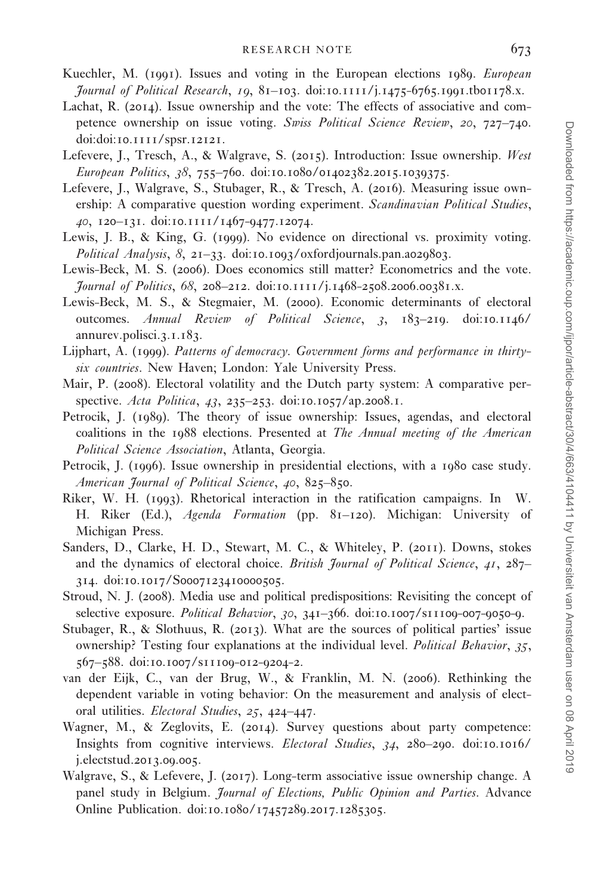- <span id="page-11-0"></span>Kuechler, M. (1991). Issues and voting in the European elections 1989. European *Journal of Political Research, 19, 81*-103. doi:10.1111/j.1475-6765.1991.tb01178.x.
- Lachat, R. (2014). Issue ownership and the vote: The effects of associative and competence ownership on issue voting. Swiss Political Science Review, 20, 727–740. doi:doi:10.1111/spsr.12121.
- Lefevere, J., Tresch, A., & Walgrave, S. (2015). Introduction: Issue ownership. West European Politics, 38, 755–760. doi:10.1080/01402382.2015.1039375.
- Lefevere, J., Walgrave, S., Stubager, R., & Tresch, A. (2016). Measuring issue ownership: A comparative question wording experiment. Scandinavian Political Studies, 40, 120–131. doi:10.1111/1467-9477.12074.
- Lewis, J. B., & King, G. (1999). No evidence on directional vs. proximity voting. Political Analysis, 8, 21-33. doi:10.1093/oxfordjournals.pan.a029803.
- Lewis-Beck, M. S. (2006). Does economics still matter? Econometrics and the vote. Journal of Politics, 68, 208–212. doi:10.1111/j.1468-2508.2006.00381.x.
- Lewis-Beck, M. S., & Stegmaier, M. (2000). Economic determinants of electoral outcomes. Annual Review of Political Science, 3, 183–219. doi:10.1146/ annurev.polisci.3.1.183.
- Lijphart, A. (1999). Patterns of democracy. Government forms and performance in thirtysix countries. New Haven; London: Yale University Press.
- Mair, P. (2008). Electoral volatility and the Dutch party system: A comparative perspective. Acta Politica, 43, 235–253. doi:10.1057/ap.2008.1.
- Petrocik, J. (1989). The theory of issue ownership: Issues, agendas, and electoral coalitions in the 1988 elections. Presented at The Annual meeting of the American Political Science Association, Atlanta, Georgia.
- Petrocik, J. (1996). Issue ownership in presidential elections, with a 1980 case study. American Journal of Political Science, 40, 825–850.
- Riker, W. H. (1993). Rhetorical interaction in the ratification campaigns. In W. H. Riker (Ed.), Agenda Formation (pp. 81–120). Michigan: University of Michigan Press.
- Sanders, D., Clarke, H. D., Stewart, M. C., & Whiteley, P. (2011). Downs, stokes and the dynamics of electoral choice. British Journal of Political Science, 41, 287– 314. doi:10.1017/S0007123410000505.
- Stroud, N. J. (2008). Media use and political predispositions: Revisiting the concept of selective exposure. *Political Behavior*,  $30, 341–366.$  doi:10.1007/s11109-007-9050-9.
- Stubager, R., & Slothuus, R. (2013). What are the sources of political parties' issue ownership? Testing four explanations at the individual level. Political Behavior, 35, 567–588. doi:10.1007/s11109-012-9204-2.
- van der Eijk, C., van der Brug, W., & Franklin, M. N. (2006). Rethinking the dependent variable in voting behavior: On the measurement and analysis of electoral utilities. Electoral Studies, 25, 424–447.
- Wagner, M., & Zeglovits, E. (2014). Survey questions about party competence: Insights from cognitive interviews. Electoral Studies, 34, 280–290. doi:10.1016/ j.electstud.2013.09.005.
- Walgrave, S., & Lefevere, J. (2017). Long-term associative issue ownership change. A panel study in Belgium. Journal of Elections, Public Opinion and Parties. Advance Online Publication. doi:10.1080/17457289.2017.1285305.